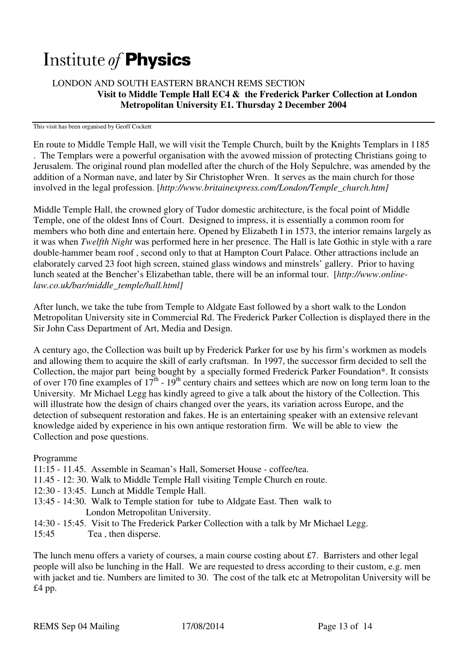## Institute of **Physics**

## LONDON AND SOUTH EASTERN BRANCH REMS SECTION  **Visit to Middle Temple Hall EC4 & the Frederick Parker Collection at London Metropolitan University E1. Thursday 2 December 2004**

This visit has been organised by Geoff Cockett

En route to Middle Temple Hall, we will visit the Temple Church, built by the Knights Templars in 1185 . The Templars were a powerful organisation with the avowed mission of protecting Christians going to Jerusalem. The original round plan modelled after the church of the Holy Sepulchre, was amended by the addition of a Norman nave, and later by Sir Christopher Wren. It serves as the main church for those involved in the legal profession. [*http://www.britainexpress.com/London/Temple\_church.htm]* 

Middle Temple Hall, the crowned glory of Tudor domestic architecture, is the focal point of Middle Temple, one of the oldest Inns of Court. Designed to impress, it is essentially a common room for members who both dine and entertain here. Opened by Elizabeth I in 1573, the interior remains largely as it was when *Twelfth Night* was performed here in her presence. The Hall is late Gothic in style with a rare double-hammer beam roof , second only to that at Hampton Court Palace. Other attractions include an elaborately carved 23 foot high screen, stained glass windows and minstrels' gallery. Prior to having lunch seated at the Bencher's Elizabethan table, there will be an informal tour. [*http://www.onlinelaw.co.uk/bar/middle\_temple/hall.html]* 

After lunch, we take the tube from Temple to Aldgate East followed by a short walk to the London Metropolitan University site in Commercial Rd. The Frederick Parker Collection is displayed there in the Sir John Cass Department of Art, Media and Design.

A century ago, the Collection was built up by Frederick Parker for use by his firm's workmen as models and allowing them to acquire the skill of early craftsman. In 1997, the successor firm decided to sell the Collection, the major part being bought by a specially formed Frederick Parker Foundation\*. It consists of over 170 fine examples of  $17<sup>th</sup>$  - 19<sup>th</sup> century chairs and settees which are now on long term loan to the University. Mr Michael Legg has kindly agreed to give a talk about the history of the Collection. This will illustrate how the design of chairs changed over the years, its variation across Europe, and the detection of subsequent restoration and fakes. He is an entertaining speaker with an extensive relevant knowledge aided by experience in his own antique restoration firm. We will be able to view the Collection and pose questions.

Programme

- 11:15 11.45. Assemble in Seaman's Hall, Somerset House coffee/tea.
- 11.45 12: 30. Walk to Middle Temple Hall visiting Temple Church en route.
- 12:30 13:45. Lunch at Middle Temple Hall.
- 13:45 14:30. Walk to Temple station for tube to Aldgate East. Then walk to London Metropolitan University.
- 14:30 15:45. Visit to The Frederick Parker Collection with a talk by Mr Michael Legg.
- 15:45 Tea , then disperse.

The lunch menu offers a variety of courses, a main course costing about £7. Barristers and other legal people will also be lunching in the Hall. We are requested to dress according to their custom, e.g. men with jacket and tie. Numbers are limited to 30. The cost of the talk etc at Metropolitan University will be £4 pp.